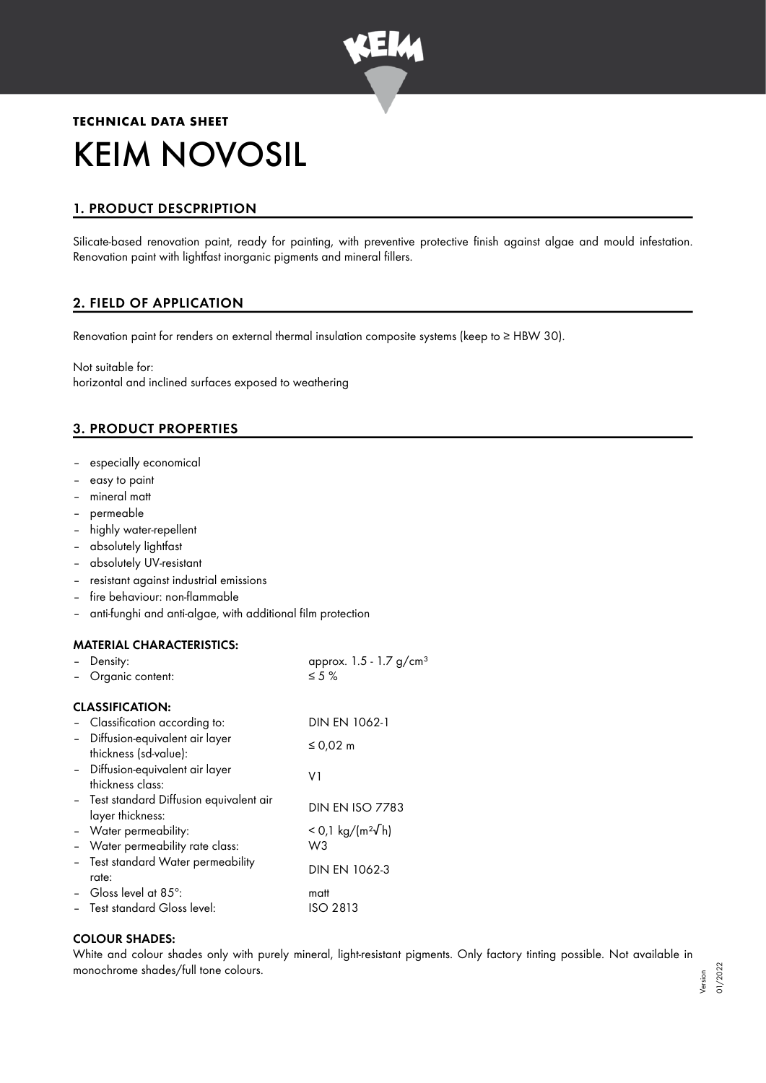

# **TECHNICAL DATA SHEET** KEIM NOVOSIL

# 1. PRODUCT DESCPRIPTION

Silicate-based renovation paint, ready for painting, with preventive protective finish against algae and mould infestation. Renovation paint with lightfast inorganic pigments and mineral fillers.

# 2. FIELD OF APPLICATION

Renovation paint for renders on external thermal insulation composite systems (keep to ≥ HBW 30).

Not suitable for: horizontal and inclined surfaces exposed to weathering

# 3. PRODUCT PROPERTIES

- especially economical
- easy to paint
- mineral matt
- permeable
- highly water-repellent
- absolutely lightfast
- absolutely UV-resistant
- resistant against industrial emissions
- fire behaviour: non-flammable
- anti-funghi and anti-algae, with additional film protection

#### MATERIAL CHARACTERISTICS:

| Density:                                                     | approx. $1.5 - 1.7$ g/cm <sup>3</sup> |
|--------------------------------------------------------------|---------------------------------------|
| Organic content:                                             | $\leq 5\%$                            |
| <b>CLASSIFICATION:</b>                                       |                                       |
| - Classification according to:                               | DIN EN 1062-1                         |
| - Diffusion-equivalent air layer<br>thickness (sd-value):    | ≤ 0,02 $m$                            |
| - Diffusion-equivalent air layer<br>thickness class:         | V1                                    |
| - Test standard Diffusion equivalent air<br>layer thickness: | <b>DIN EN ISO 7783</b>                |
| - Water permeability:                                        | $<$ 0,1 kg/(m <sup>2</sup> √h)        |
| - Water permeability rate class:                             | W3                                    |
| - Test standard Water permeability<br>rate:                  | <b>DIN EN 1062-3</b>                  |
| - Gloss level at 85 $^{\circ}$ :                             | matt                                  |
| - Test standard Gloss level:                                 | ISO 2813                              |

#### COLOUR SHADES:

White and colour shades only with purely mineral, light-resistant pigments. Only factory tinting possible. Not available in monochrome shades/full tone colours.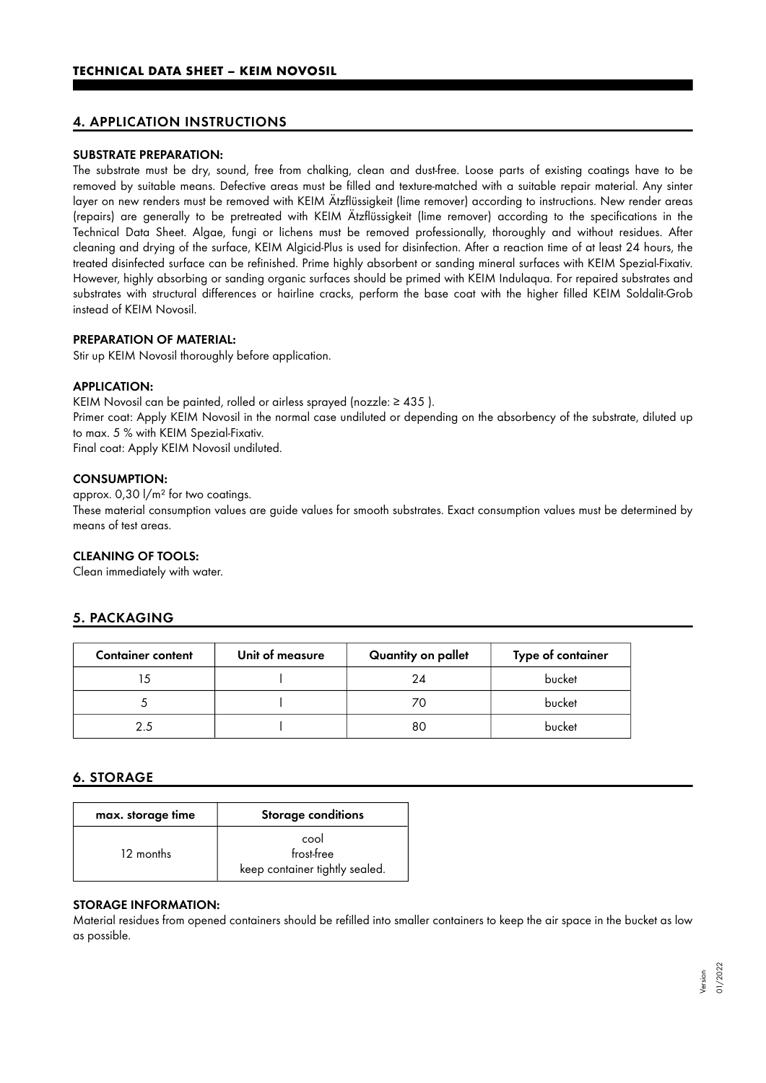## 4. APPLICATION INSTRUCTIONS

#### SUBSTRATE PREPARATION:

The substrate must be dry, sound, free from chalking, clean and dust-free. Loose parts of existing coatings have to be removed by suitable means. Defective areas must be filled and texture-matched with a suitable repair material. Any sinter layer on new renders must be removed with KEIM Ätzflüssigkeit (lime remover) according to instructions. New render areas (repairs) are generally to be pretreated with KEIM Ätzflüssigkeit (lime remover) according to the specifications in the Technical Data Sheet. Algae, fungi or lichens must be removed professionally, thoroughly and without residues. After cleaning and drying of the surface, KEIM Algicid-Plus is used for disinfection. After a reaction time of at least 24 hours, the treated disinfected surface can be refinished. Prime highly absorbent or sanding mineral surfaces with KEIM Spezial-Fixativ. However, highly absorbing or sanding organic surfaces should be primed with KEIM Indulaqua. For repaired substrates and substrates with structural differences or hairline cracks, perform the base coat with the higher filled KEIM Soldalit-Grob instead of KEIM Novosil.

#### PREPARATION OF MATERIAL:

Stir up KEIM Novosil thoroughly before application.

#### APPLICATION:

KEIM Novosil can be painted, rolled or airless sprayed (nozzle: ≥ 435 ). Primer coat: Apply KEIM Novosil in the normal case undiluted or depending on the absorbency of the substrate, diluted up to max. 5 % with KEIM Spezial-Fixativ.

Final coat: Apply KEIM Novosil undiluted.

#### CONSUMPTION:

approx. 0,30 l/m² for two coatings.

These material consumption values are guide values for smooth substrates. Exact consumption values must be determined by means of test areas.

#### CLEANING OF TOOLS:

Clean immediately with water.

## 5. PACKAGING

| <b>Container content</b> | Unit of measure | Quantity on pallet | Type of container |
|--------------------------|-----------------|--------------------|-------------------|
|                          |                 | 24                 | bucket            |
|                          |                 | ZΩ                 | bucket            |
| つろ                       |                 | 80                 | bucket            |

## 6. STORAGE

| max. storage time | <b>Storage conditions</b>      |  |
|-------------------|--------------------------------|--|
| 12 months         | cool<br>frost-free             |  |
|                   | keep container tightly sealed. |  |

#### STORAGE INFORMATION:

Material residues from opened containers should be refilled into smaller containers to keep the air space in the bucket as low as possible.